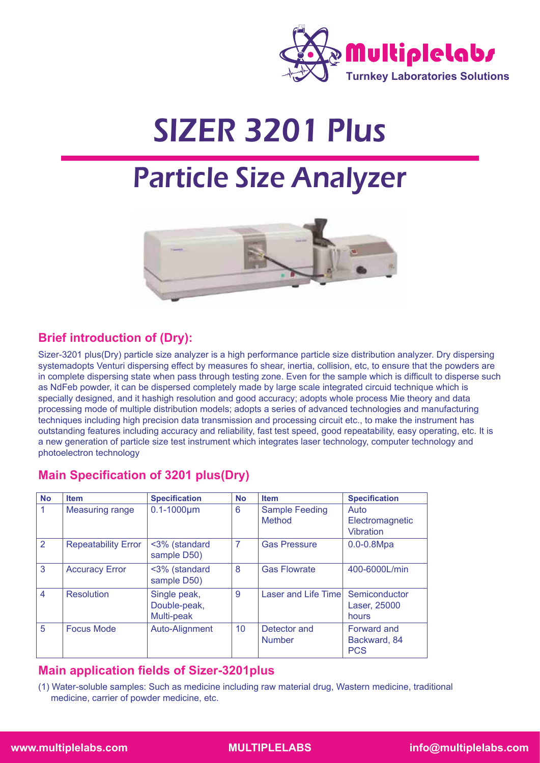

# SIZER 3201 Plus

# Particle Size Analyzer



## **Brief introduction of (Dry):**

Sizer-3201 plus(Dry) particle size analyzer is a high performance particle size distribution analyzer. Dry dispersing systemadopts Venturi dispersing effect by measures fo shear, inertia, collision, etc, to ensure that the powders are in complete dispersing state when pass through testing zone. Even for the sample which is difficult to disperse such as NdFeb powder, it can be dispersed completely made by large scale integrated circuid technique which is specially designed, and it hashigh resolution and good accuracy; adopts whole process Mie theory and data processing mode of multiple distribution models; adopts a series of advanced technologies and manufacturing techniques including high precision data transmission and processing circuit etc., to make the instrument has outstanding features including accuracy and reliability, fast test speed, good repeatability, easy operating, etc. It is a new generation of particle size test instrument which integrates laser technology, computer technology and photoelectron technology

## **Main Specification of 3201 plus(Dry)**

| <b>No</b>      | <b>Item</b>                | <b>Specification</b>                       | <b>No</b> | <b>Item</b>                     | <b>Specification</b>                      |
|----------------|----------------------------|--------------------------------------------|-----------|---------------------------------|-------------------------------------------|
| 1              | <b>Measuring range</b>     | $0.1 - 1000 \mu m$                         | 6         | <b>Sample Feeding</b><br>Method | Auto<br>Electromagnetic<br>Vibration      |
| $\overline{2}$ | <b>Repeatability Error</b> | <3% (standard<br>sample D50)               | 7         | <b>Gas Pressure</b>             | $0.0 - 0.8 Mpa$                           |
| 3              | <b>Accuracy Error</b>      | <3% (standard<br>sample D50)               | 8         | <b>Gas Flowrate</b>             | 400-6000L/min                             |
| $\overline{4}$ | <b>Resolution</b>          | Single peak,<br>Double-peak,<br>Multi-peak | 9         | <b>Laser and Life Timel</b>     | Semiconductor<br>Laser, 25000<br>hours    |
| 5              | <b>Focus Mode</b>          | Auto-Alignment                             | 10        | Detector and<br><b>Number</b>   | Forward and<br>Backward, 84<br><b>PCS</b> |

## **Main application fields of Sizer-3201plus**

(1) Water-soluble samples: Such as medicine including raw material drug, Wastern medicine, traditional medicine, carrier of powder medicine, etc.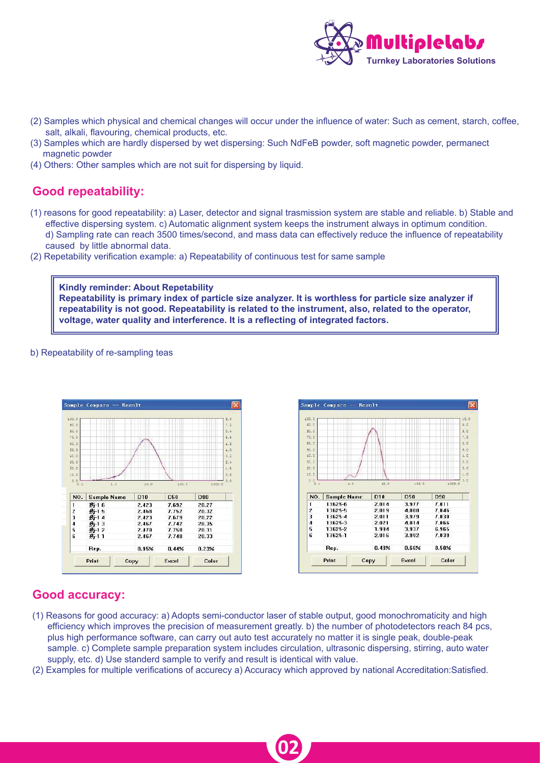

- (2) Samples which physical and chemical changes will occur under the influence of water: Such as cement, starch, coffee, salt, alkali, flavouring, chemical products, etc.
- (3) Samples which are hardly dispersed by wet dispersing: Such NdFeB powder, soft magnetic powder, permanect magnetic powder
- (4) Others: Other samples which are not suit for dispersing by liquid.

## **Good repeatability:**

- (1) reasons for good repeatability: a) Laser, detector and signal trasmission system are stable and reliable. b) Stable and effective dispersing system. c) Automatic alignment system keeps the instrument always in optimum condition. d) Sampling rate can reach 3500 times/second, and mass data can effectively reduce the influence of repeatability caused by little abnormal data.
- (2) Repetability verification example: a) Repeatability of continuous test for same sample

**Kindly reminder: About Repetability Repeatability is primary index of particle size analyzer. It is worthless for particle size analyzer if repeatability is not good. Repeatability is related to the instrument, also, related to the operator, voltage, water quality and interference. It is a reflecting of integrated factors.**

#### b) Repeatability of re-sampling teas





### **Good accuracy:**

- (1) Reasons for good accuracy: a) Adopts semi-conductor laser of stable output, good monochromaticity and high efficiency which improves the precision of measurement greatly. b) the number of photodetectors reach 84 pcs, plus high performance software, can carry out auto test accurately no matter it is single peak, double-peak sample. c) Complete sample preparation system includes circulation, ultrasonic dispersing, stirring, auto water supply, etc. d) Use standerd sample to verify and result is identical with value.
- (2) Examples for multiple verifications of accurecy a) Accuracy which approved by national Accreditation:Satisfied.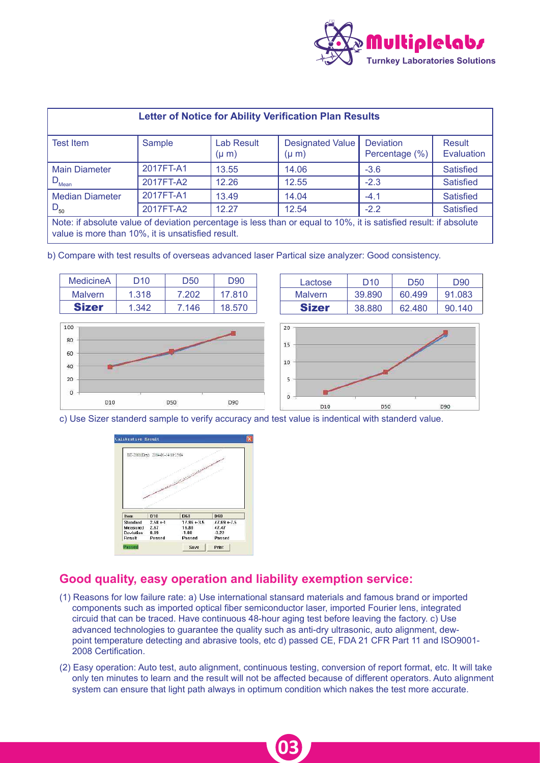

| <b>Letter of Notice for Ability Verification Plan Results</b>                                                                                                          |           |                                |                                      |                                    |                             |  |  |
|------------------------------------------------------------------------------------------------------------------------------------------------------------------------|-----------|--------------------------------|--------------------------------------|------------------------------------|-----------------------------|--|--|
| Test Item                                                                                                                                                              | Sample    | <b>Lab Result</b><br>$(\mu m)$ | <b>Designated Value</b><br>$(\mu m)$ | <b>Deviation</b><br>Percentage (%) | Result<br><b>Evaluation</b> |  |  |
| <b>Main Diameter</b>                                                                                                                                                   | 2017FT-A1 | 13.55                          | 14.06                                | $-3.6$                             | <b>Satisfied</b>            |  |  |
| $D_{\text{Mean}}$                                                                                                                                                      | 2017FT-A2 | 12.26                          | 12.55                                | $-2.3$                             | <b>Satisfied</b>            |  |  |
| <b>Median Diameter</b>                                                                                                                                                 | 2017FT-A1 | 13.49                          | 14.04                                | $-4.1$                             | <b>Satisfied</b>            |  |  |
| $D_{50}$                                                                                                                                                               | 2017FT-A2 | 12.27                          | 12.54                                | $-2.2$                             | <b>Satisfied</b>            |  |  |
| Note: if absolute value of deviation percentage is less than or equal to 10%, it is satisfied result: if absolute<br>value is more than 10%, it is unsatisfied result. |           |                                |                                      |                                    |                             |  |  |

b) Compare with test results of overseas advanced laser Partical size analyzer: Good consistency.

| MedicineA      | D <sub>10</sub> | D50   | D90    |
|----------------|-----------------|-------|--------|
| <b>Malvern</b> | 1.318           | 7.202 | 17.810 |
| <b>Sizer</b>   | 1.342           | 7 146 | 18.570 |



| Lactose      | D <sub>10</sub> | D50    | D90    |
|--------------|-----------------|--------|--------|
| Malvern      | 39.890          | 60.499 | 91.083 |
| <b>Sizer</b> | 38.880          | 62.480 | 90.140 |



c) Use Sizer standerd sample to verify accuracy and test value is indentical with standerd value.



## **Good quality, easy operation and liability exemption service:**

- (1) Reasons for low failure rate: a) Use international stansard materials and famous brand or imported components such as imported optical fiber semiconductor laser, imported Fourier lens, integrated circuid that can be traced. Have continuous 48-hour aging test before leaving the factory. c) Use advanced technologies to guarantee the quality such as anti-dry ultrasonic, auto alignment, dew point temperature detecting and abrasive tools, etc d) passed CE, FDA 21 CFR Part 11 and ISO9001- 2008 Certification.
- (2) Easy operation: Auto test, auto alignment, continuous testing, conversion of report format, etc. It will take only ten minutes to learn and the result will not be affected because of different operators. Auto alignment system can ensure that light path always in optimum condition which nakes the test more accurate.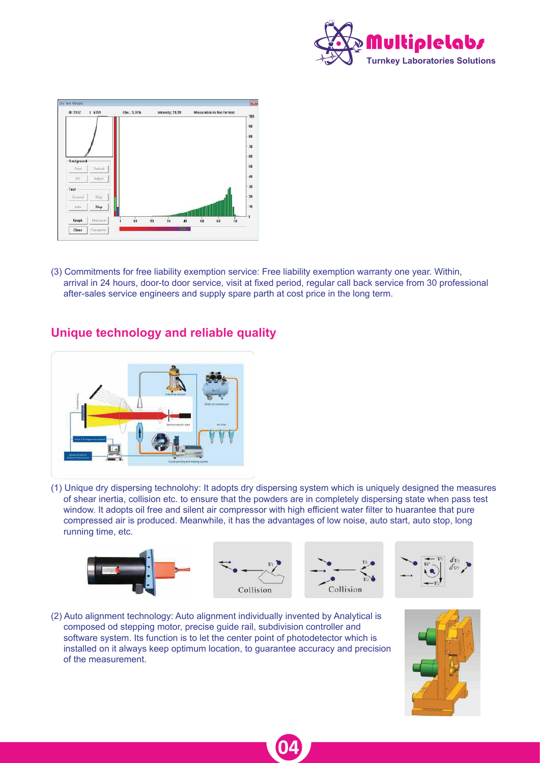



(3) Commitments for free liability exemption service: Free liability exemption warranty one year. Within, arrival in 24 hours, door-to door service, visit at fixed period, regular call back service from 30 professional after-sales service engineers and supply spare parth at cost price in the long term.



## **Unique technology and reliable quality**

(1) Unique dry dispersing technolohy: It adopts dry dispersing system which is uniquely designed the measures of shear inertia, collision etc. to ensure that the powders are in completely dispersing state when pass test window. It adopts oil free and silent air compressor with high efficient water filter to huarantee that pure compressed air is produced. Meanwhile, it has the advantages of low noise, auto start, auto stop, long running time, etc.



**04**

(2) Auto alignment technology: Auto alignment individually invented by Analytical is composed od stepping motor, precise guide rail, subdivision controller and software system. Its function is to let the center point of photodetector which is installed on it always keep optimum location, to guarantee accuracy and precision of the measurement.

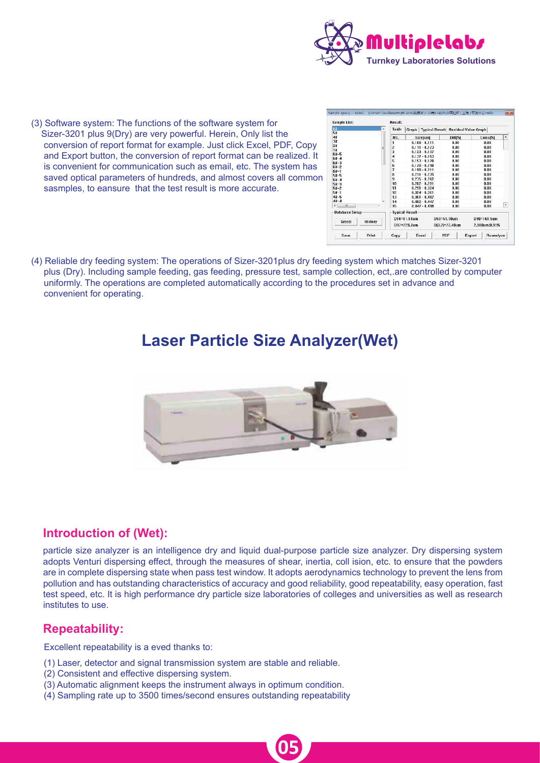

(3) Software system: The functions of the software system for Sizer-3201 plus 9(Dry) are very powerful. Herein, Only list the conversion of report format for example. Just click Excel, PDF, Copy and Export button, the conversion of report format can be realized. It is convenient for communication such as email, etc. The system has saved optical parameters of hundreds, and almost covers all common sasmples, to eansure that the test result is more accurate.

| 64                | × | <b>Table</b> | Graph   Typical Result   Residual Value Graph |                 |                |                      |              |  |
|-------------------|---|--------------|-----------------------------------------------|-----------------|----------------|----------------------|--------------|--|
| 5#<br>4#          |   | NO.          |                                               | Sizefuml        | Diff(%)        | Cumu <sup>[54]</sup> | ۰            |  |
| 3#                |   | ı            |                                               | $0.100 - 0.111$ | 0.00           | 0.00                 |              |  |
| 2#                |   | Ž            |                                               | $0.111 - 0.123$ | 0.00           | 0.00                 |              |  |
| 1#                | в | 3            |                                               | $0.123 - 0.137$ | 0.00           | 0.00                 |              |  |
| $64 - 5$          |   | 4            |                                               | $0.137 - 0.153$ | 0.00           | 0.00                 |              |  |
| $62 - 4$          |   | 5            |                                               |                 | 0.00           | 0.00                 |              |  |
| $64 - 3$          |   | Б            | $0.153 - 0.170$<br>$0.170 - 0.190$            |                 |                |                      |              |  |
| $64 - 2$          |   | 7            |                                               |                 | 0.00<br>0.00   | 0.00                 |              |  |
| $64 - 1$          |   |              |                                               | $0.190 - 0.211$ |                | 0.00                 |              |  |
| 54.5              |   | Ŕ            |                                               | $0.211 - 0.235$ | 0.00           | 0.00                 |              |  |
| $52 - 4$          |   | 9            |                                               | $0.235 - 0.262$ | 0.00           | 0.00                 |              |  |
| $54 - 3$          |   | 10           |                                               | $0.262 - 0.291$ | 0.00           | 0.00                 |              |  |
| $54 - 2$          |   | 11           |                                               | $0.291 - 0.324$ | 0.00<br>0.00   | 0.00                 |              |  |
| $54 - 1$          |   | 12           |                                               | $0.324 - 0.361$ |                | 0.00                 |              |  |
| $48 - 5$          |   | 13           |                                               | $0.361 - 0.402$ | 0.00           | 0.00                 |              |  |
| $4k - 4$          |   | 14           |                                               | $0.402 - 0.447$ | 0.00           | 0.00                 |              |  |
| $\bullet$<br>m    |   | 15           |                                               | $0.447 - 0.498$ | 0.00           | $n \text{nn}$        | $\checkmark$ |  |
| Database Setup    |   |              | <b>Typical Result</b>                         |                 |                |                      |              |  |
| History<br>Select |   |              | D10-11.51um                                   | D50=51.10um     |                | D98=161.5um          |              |  |
|                   |   |              | D97=229.7um                                   |                 | DJ3,2J=22.48um | 2.000um:0.91%        |              |  |

(4) Reliable dry feeding system: The operations of Sizer-3201plus dry feeding system which matches Sizer-3201 plus (Dry). Including sample feeding, gas feeding, pressure test, sample collection, ect,.are controlled by computer uniformly. The operations are completed automatically according to the procedures set in advance and convenient for operating.

## **Laser Particle Size Analyzer(Wet)**



## **Introduction of (Wet):**

particle size analyzer is an intelligence dry and liquid dual-purpose particle size analyzer. Dry dispersing system adopts Venturi dispersing effect, through the measures of shear, inertia, coll ision, etc. to ensure that the powders are in complete dispersing state when pass test window. It adopts aerodynamics technology to prevent the lens from pollution and has outstanding characteristics of accuracy and good reliability, good repeatability, easy operation, fast test speed, etc. It is high performance dry particle size laboratories of colleges and universities as well as research institutes to use.

**05**

## **Repeatability:**

Excellent repeatability is a eved thanks to:

- (1) Laser, detector and signal transmission system are stable and reliable.
- (2) Consistent and effective dispersing system.
- (3) Automatic alignment keeps the instrument always in optimum condition.
- (4) Sampling rate up to 3500 times/second ensures outstanding repeatability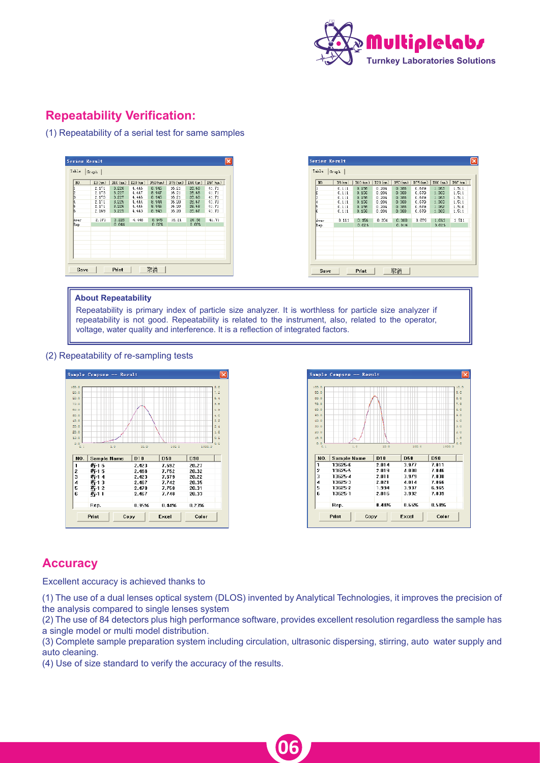

## **Repeatability Verification:**

(1) Repeatability of a serial test for same samples

|              | Scries Result                           |                                  |                                    |                                  |                                  |                                  |                                  |
|--------------|-----------------------------------------|----------------------------------|------------------------------------|----------------------------------|----------------------------------|----------------------------------|----------------------------------|
|              | Table Graph                             |                                  |                                    |                                  |                                  |                                  |                                  |
| NU.          | 13(m)<br>2.1TL                          | 3.226                            | $D10$ (an) $ $ $D20$ (an)<br>4.446 | DSD (un)<br>8.945                | D75 (an) D90 (an)<br>16.21       | 26.6B                            | 197 (un)<br>41.71                |
|              | 2.173<br>2.173<br>2.171<br><b>2.1TL</b> | 3.227<br>3.227<br>3.225<br>3.226 | 4.447<br>4.446<br>4.444<br>4.446   | 8.947<br>6.945<br>8.944<br>8.945 | 16.21<br>16.21<br>16.20<br>16.20 | 26.6B<br>26.6B<br>26.67<br>Z6.6B | 41.71<br>41.71<br>41.70<br>41.71 |
| Aver<br>Rep. | 2.169<br>2.171                          | 3.225<br>3.226<br>0.04%          | 4.443<br>4.446                     | 8.943<br>8.945<br>0.02%          | 16.20<br>15.21                   | 26.67<br>26.68<br>0.03%          | 41.70<br>41.71                   |
|              |                                         |                                  |                                    |                                  |                                  |                                  |                                  |
|              |                                         |                                  |                                    |                                  |                                  |                                  |                                  |
|              |                                         |                                  |                                    |                                  |                                  |                                  |                                  |
|              |                                         |                                  |                                    |                                  |                                  |                                  |                                  |
| Save         |                                         | Print                            |                                    | 取消                               |                                  |                                  |                                  |

#### **About Repeatability**

Repeatability is primary index of particle size analyzer. It is worthless for particle size analyzer if repeatability is not good. Repeatability is related to the instrument, also, related to the operator, voltage, water quality and interference. It is a reflection of integrated factors.

#### (2) Repeatability of re-sampling tests





## **Accuracy**

Excellent accuracy is achieved thanks to

(1) The use of a dual lenses optical system (DLOS) invented by Analytical Technologies, it improves the precision of the analysis compared to single lenses system

(2) The use of 84 detectors plus high performance software, provides excellent resolution regardless the sample has a single model or multi model distribution.

(3) Complete sample preparation system including circulation, ultrasonic dispersing, stirring, auto water supply and auto cleaning.

**06**

(4) Use of size standard to verify the accuracy of the results.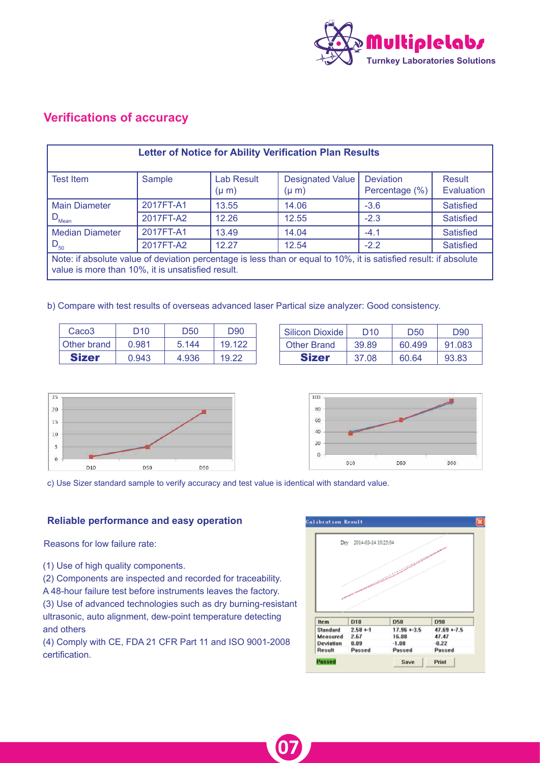

## **Verifications of accuracy**

| <b>Letter of Notice for Ability Verification Plan Results</b>                                                                                                          |           |                                |                                      |                                    |                      |  |  |
|------------------------------------------------------------------------------------------------------------------------------------------------------------------------|-----------|--------------------------------|--------------------------------------|------------------------------------|----------------------|--|--|
| <b>Test Item</b>                                                                                                                                                       | Sample    | <b>Lab Result</b><br>$(\mu m)$ | <b>Designated Value</b><br>$(\mu m)$ | <b>Deviation</b><br>Percentage (%) | Result<br>Evaluation |  |  |
| <b>Main Diameter</b>                                                                                                                                                   | 2017FT-A1 | 13.55                          | 14.06                                | $-3.6$                             | <b>Satisfied</b>     |  |  |
| $\cdot$ D <sub>Mean</sub>                                                                                                                                              | 2017FT-A2 | 12.26                          | 12.55                                | $-2.3$                             | <b>Satisfied</b>     |  |  |
| <b>Median Diameter</b>                                                                                                                                                 | 2017FT-A1 | 13.49                          | 14.04                                | $-4.1$                             | <b>Satisfied</b>     |  |  |
| $D_{50}$                                                                                                                                                               | 2017FT-A2 | 12.27                          | 12.54                                | $-2.2$                             | <b>Satisfied</b>     |  |  |
| Note: if absolute value of deviation percentage is less than or equal to 10%, it is satisfied result: if absolute<br>value is more than 10%, it is unsatisfied result. |           |                                |                                      |                                    |                      |  |  |

b) Compare with test results of overseas advanced laser Partical size analyzer: Good consistency.

| Caco <sub>3</sub> | D <sub>10</sub> | D50   | D <sub>90</sub> |
|-------------------|-----------------|-------|-----------------|
| Other brand       | 0.981           | 5.144 | 19.122          |
| <b>Sizer</b>      | 0.943           | 4.936 | 19.22           |

| Silicon Dioxide | D10   | D <sub>50</sub> | D <sub>90</sub> |
|-----------------|-------|-----------------|-----------------|
| Other Brand     | 39.89 | 60.499          | 91.083          |
| <b>Sizer</b>    | 37.08 | 60.64           | 93.83           |





c) Use Sizer standard sample to verify accuracy and test value is identical with standard value.

**07**

#### **Reliable performance and easy operation**

Reasons for low failure rate:

(1) Use of high quality components.

(2) Components are inspected and recorded for traceability. A 48-hour failure test before instruments leaves the factory. (3) Use of advanced technologies such as dry burning-resistant ultrasonic, auto alignment, dew-point temperature detecting and others

(4) Comply with CE, FDA 21 CFR Part 11 and ISO 9001-2008 certification.

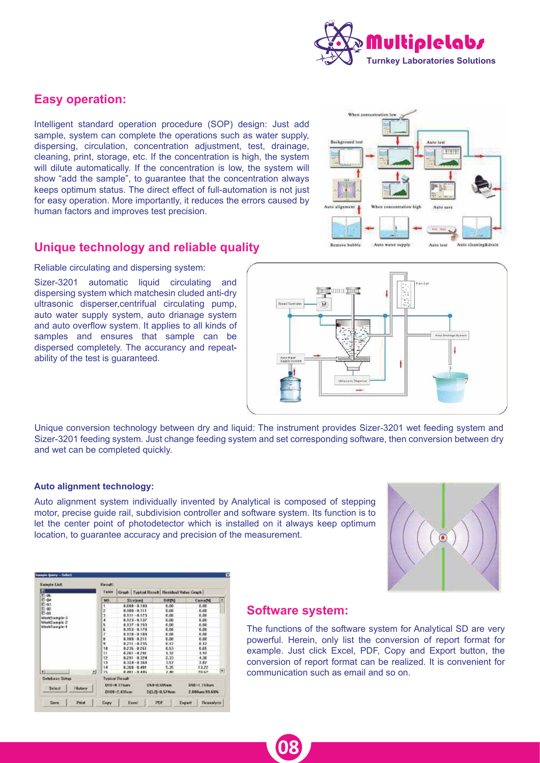

## **Easy operation:**

Intelligent standard operation procedure (SOP) design: Just add sample, system can complete the operations such as water supply, dispersing, circulation, concentration adjustment, test, drainage, cleaning, print, storage, etc. If the concentration is high, the system will dilute automatically. If the concentration is low, the system will show "add the sample", to guarantee that the concentration always keeps optimum status. The direct effect of full-automation is not just for easy operation. More importantly, it reduces the errors caused by human factors and improves test precision.



## **Unique technology and reliable quality**

Reliable circulating and dispersing system:

Sizer-3201 automatic liquid circulating and dispersing system which matchesin cluded anti-dry ultrasonic disperser,centrifual circulating pump, auto water supply system, auto drianage system and auto overflow system. It applies to all kinds of samples and ensures that sample can be dispersed completely. The accurancy and repeatability of the test is guaranteed.



Unique conversion technology between dry and liquid: The instrument provides Sizer-3201 wet feeding system and Sizer-3201 feeding system. Just change feeding system and set corresponding software, then conversion between dry and wet can be completed quickly.

#### **Auto alignment technology:**

Auto alignment system individually invented by Analytical is composed of stepping motor, precise guide rail, subdivision controller and software system. Its function is to let the center point of photodetector which is installed on it always keep optimum location, to guarantee accuracy and precision of the measurement.



| Sample Link<br>٩Ď |       | Result:<br>Table       |                             | Graph   Typical Reneft   Renidual Value Graph |        |                               |   |  |
|-------------------|-------|------------------------|-----------------------------|-----------------------------------------------|--------|-------------------------------|---|--|
| ID 46<br>it) as   |       | NO.                    | Slicked                     | <b>DRPQ</b>                                   |        | CamaDQ                        |   |  |
| 87-03             |       |                        | E.C.B - 650.9               | 0.00                                          |        | 0.00                          |   |  |
| 緊急                |       | ž                      | $0.180 - 0.111$             | 6,00                                          |        | 00.0                          |   |  |
|                   |       | ä                      | $0.111 - 0.123$             | 6,00                                          |        | 6.00                          |   |  |
| WorkSample-3      |       |                        | $0.123 - 0.137$             | 8,00                                          |        | 0.00                          |   |  |
| WorkSample 2      |       |                        | $0.137 - 0.153$             | 0.00                                          |        | 0.80                          |   |  |
| WorkSample-1      |       |                        | $0.153 - 0.170$             | 6.00                                          |        | 0.80                          |   |  |
|                   |       | ř                      | 0.170 - 0.189               | 0.00                                          |        | 6.00                          |   |  |
|                   |       |                        | $0.189 - 0.211$             | 0.00                                          |        | 0.00                          |   |  |
|                   |       |                        | 0.211 - 0.215               | 0.12                                          |        | 6,12                          |   |  |
|                   |       | 10                     | 0.235 0.261                 | 6.53                                          |        | 6.65                          |   |  |
|                   |       | $\mathbf{1}$           | 0.261 - 0.291               | 1.32                                          |        | 1.57                          |   |  |
|                   |       | 12                     | 8,251 0.324                 | 2,33                                          |        | 4.30                          |   |  |
|                   |       | 13                     | $0.328 - 0.360$             | 3.57                                          |        | 7.87                          |   |  |
|                   |       | 14                     | $0.368 - 0.401$             | 5.35                                          |        | 13.22                         |   |  |
| ŵ                 | 团     | 15                     | 8,483 - 8,445               | 4.40                                          |        | 28.62                         | ٣ |  |
| Database Schap    |       | <b>Typical Flesult</b> |                             |                                               |        |                               |   |  |
| Select<br>History |       |                        | D1018.376pm<br>D100-2-431um | <b>DMI-D.595um</b><br>DD.ZJ-0.57Aum           |        | DV0+1.159um<br>2.000um/23.60% |   |  |
| Seive             | Point | Copy                   | Execol.                     | <b>POF</b>                                    | Expart | Reamsiyee                     |   |  |

### **Software system:**

**08**

The functions of the software system for Analytical SD are very powerful. Herein, only list the conversion of report format for example. Just click Excel, PDF, Copy and Export button, the conversion of report format can be realized. It is convenient for communication such as email and so on.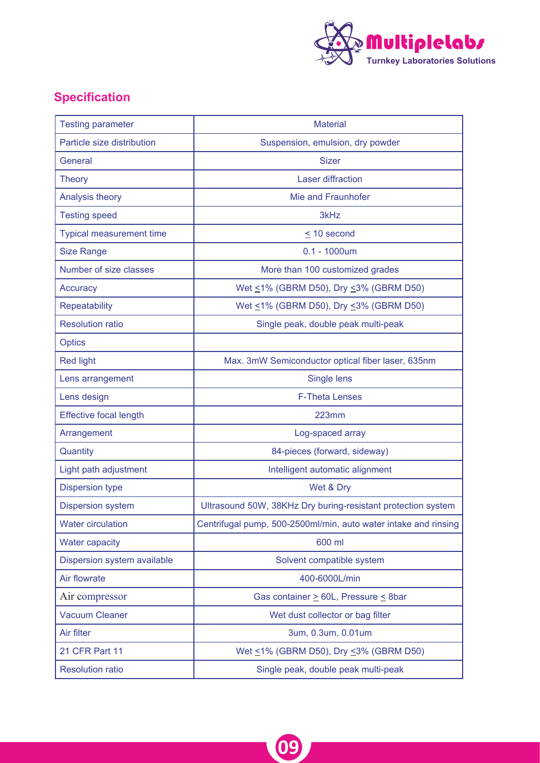

## **Specification**

| <b>Testing parameter</b>        | <b>Material</b>                                                 |
|---------------------------------|-----------------------------------------------------------------|
| Particle size distribution      | Suspension, emulsion, dry powder                                |
| General                         | <b>Sizer</b>                                                    |
| <b>Theory</b>                   | <b>Laser diffraction</b>                                        |
| Analysis theory                 | Mie and Fraunhofer                                              |
| <b>Testing speed</b>            | 3kHz                                                            |
| <b>Typical measurement time</b> | $\leq$ 10 second                                                |
| <b>Size Range</b>               | $0.1 - 1000$ um                                                 |
| Number of size classes          | More than 100 customized grades                                 |
| Accuracy                        | Wet ≤1% (GBRM D50), Dry ≤3% (GBRM D50)                          |
| <b>Repeatability</b>            | Wet $\leq$ 1% (GBRM D50), Dry $\leq$ 3% (GBRM D50)              |
| <b>Resolution ratio</b>         | Single peak, double peak multi-peak                             |
| <b>Optics</b>                   |                                                                 |
| <b>Red light</b>                | Max. 3mW Semiconductor optical fiber laser, 635nm               |
| Lens arrangement                | Single lens                                                     |
| Lens design                     | <b>F-Theta Lenses</b>                                           |
| <b>Effective focal length</b>   | <b>223mm</b>                                                    |
| Arrangement                     | Log-spaced array                                                |
| Quantity                        | 84-pieces (forward, sideway)                                    |
| Light path adjustment           | Intelligent automatic alignment                                 |
| <b>Dispersion type</b>          | Wet & Dry                                                       |
| <b>Dispersion system</b>        | Ultrasound 50W, 38KHz Dry buring-resistant protection system    |
| <b>Water circulation</b>        | Centrifugal pump, 500-2500ml/min, auto water intake and rinsing |
| <b>Water capacity</b>           | 600 ml                                                          |
| Dispersion system available     | Solvent compatible system                                       |
| Air flowrate                    | 400-6000L/min                                                   |
| Air compressor                  | Gas container > 60L, Pressure < 8bar                            |
| <b>Vacuum Cleaner</b>           | Wet dust collector or bag filter                                |
| Air filter                      | 3um, 0.3um, 0.01um                                              |
| 21 CFR Part 11                  | Wet ≤1% (GBRM D50), Dry ≤3% (GBRM D50)                          |
| <b>Resolution ratio</b>         | Single peak, double peak multi-peak                             |